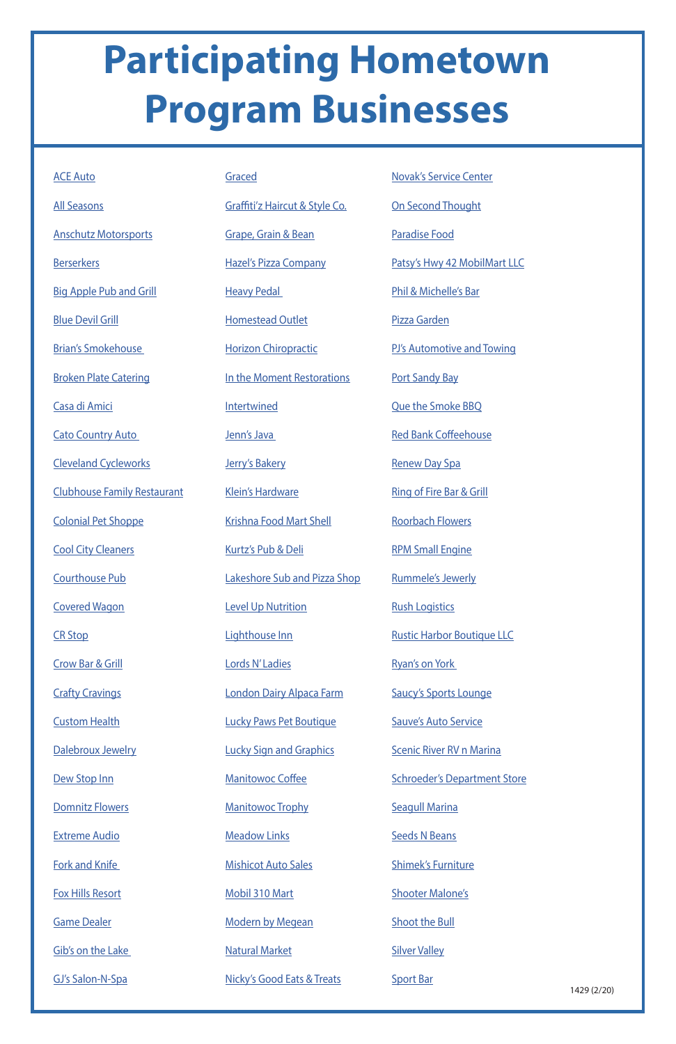## **Participating Hometown Program Businesses**

[Domnitz Flowers](https://www.facebook.com/Domnitz-Flowers-LLC-101850569889591/)

[Extreme Audio](https://www.facebook.com/exaudio/)

[Fork and Knife](https://www.facebook.com/ForkandKnifeRestaurant/) 

[Fox Hills Resort](https://www.facebook.com/FoxHillsResortWI/)

[Game Dealer](https://www.facebook.com/YourGameDealer/)

[Gib's on the Lake](https://www.facebook.com/Gibs-on-the-Lake-280016588690152/)

[GJ's Salon-N-Spa](https://www.facebook.com/gjsalonnspa/)

1429 (2/20)

| <b>ACE Auto</b>                    | <b>Graced</b>                       | <b>Novak's Service Center</b>       |
|------------------------------------|-------------------------------------|-------------------------------------|
| <b>All Seasons</b>                 | Graffiti'z Haircut & Style Co.      | <b>On Second Thought</b>            |
| <b>Anschutz Motorsports</b>        | Grape, Grain & Bean                 | <b>Paradise Food</b>                |
| <b>Berserkers</b>                  | <b>Hazel's Pizza Company</b>        | Patsy's Hwy 42 MobilMart LLC        |
| <b>Big Apple Pub and Grill</b>     | <b>Heavy Pedal</b>                  | Phil & Michelle's Bar               |
| <b>Blue Devil Grill</b>            | <b>Homestead Outlet</b>             | Pizza Garden                        |
| <b>Brian's Smokehouse</b>          | <b>Horizon Chiropractic</b>         | PJ's Automotive and Towing          |
| <b>Broken Plate Catering</b>       | In the Moment Restorations          | <b>Port Sandy Bay</b>               |
| Casa di Amici                      | Intertwined                         | <b>Que the Smoke BBQ</b>            |
| <b>Cato Country Auto</b>           | Jenn's Java                         | <b>Red Bank Coffeehouse</b>         |
| <b>Cleveland Cycleworks</b>        | Jerry's Bakery                      | <b>Renew Day Spa</b>                |
| <b>Clubhouse Family Restaurant</b> | <b>Klein's Hardware</b>             | <b>Ring of Fire Bar &amp; Grill</b> |
| <b>Colonial Pet Shoppe</b>         | <b>Krishna Food Mart Shell</b>      | <b>Roorbach Flowers</b>             |
| <b>Cool City Cleaners</b>          | <b>Kurtz's Pub &amp; Deli</b>       | <b>RPM Small Engine</b>             |
| <b>Courthouse Pub</b>              | <b>Lakeshore Sub and Pizza Shop</b> | <b>Rummele's Jewerly</b>            |
| <b>Covered Wagon</b>               | <b>Level Up Nutrition</b>           | <b>Rush Logistics</b>               |
| <b>CR Stop</b>                     | Lighthouse Inn                      | <b>Rustic Harbor Boutique LLC</b>   |
| <b>Crow Bar &amp; Grill</b>        | Lords N'Ladies                      | <b>Ryan's on York</b>               |
| <b>Crafty Cravings</b>             | London Dairy Alpaca Farm            | <b>Saucy's Sports Lounge</b>        |
| <b>Custom Health</b>               | <b>Lucky Paws Pet Boutique</b>      | <b>Sauve's Auto Service</b>         |
| Dalebroux Jewelry                  | <b>Lucky Sign and Graphics</b>      | <b>Scenic River RV n Marina</b>     |

[Dew Stop Inn](https://www.facebook.com/pages/Dew-Stop-Inn/145923122099349?__tn__=K-R&eid=ARCtdBZ5AqhNFlgm7JvbYIxuIhz1SMFq3x7zyfL9_wUd0fwmjEivvaKAq5KX-NdO2YGL8VSyhRDbsUuS&fref=mentions&__xts__[0]=68.ARAFflIX_qetMUqY4qwsbwZ_31VuR5LB4Xr8G9mJoESpE4-n3zfFTSh1H36oP83OqZtbNYxMlh-OC24KpQNvIr8e8i_RvluMuKVkTs2XDUVkKVTRbjBkpSm-LQz1U_poVXxodzPGn37VG-6rCi5q_FcprMdX1iidU6VioD_V68NcjTwwxVG3crg)

[Manitowoc Coffee](https://www.facebook.com/manitowoccoffee/)

[Manitowoc Trophy](https://www.facebook.com/manitowoc.trophy.9/)

**[Meadow Links](https://www.facebook.com/pages/Meadow-Links-Golf-Course-Manitowoc-WI/351524838245780)** 

[Mishicot Auto Sales](https://www.facebook.com/Mishicot-Auto-Sales-135464389837466/)

[Mobil 310 Mart](https://www.facebook.com/pages/Mobil-310-Mart/185068208244014)

[Modern by Megean](https://www.facebook.com/modernbymegean/)

[Natural Market](https://www.facebook.com/Natural-Market-315067675180175/)

[Nicky's Good Eats & Treats](https://www.facebook.com/nickysgoodeatsandtreats/)

[Schroeder's Department Store](https://www.facebook.com/SchroedersStore/?fref=ts)

[Seagull Marina](https://www.facebook.com/Seagull-Marina-and-Campground-113757198656449/)

[Seeds N Beans](https://www.facebook.com/SeedsNBeans/)

[Shimek's Furniture](https://www.facebook.com/shimeksfurniture/)

[Shooter Malone's](https://www.facebook.com/shootermalones/)

[Shoot the Bull](https://www.facebook.com/shootthebull/)

[Silver Valley](https://www.facebook.com/silvervalleybanquethall/)

[Sport Bar](https://www.facebook.com/sport.bar.509)